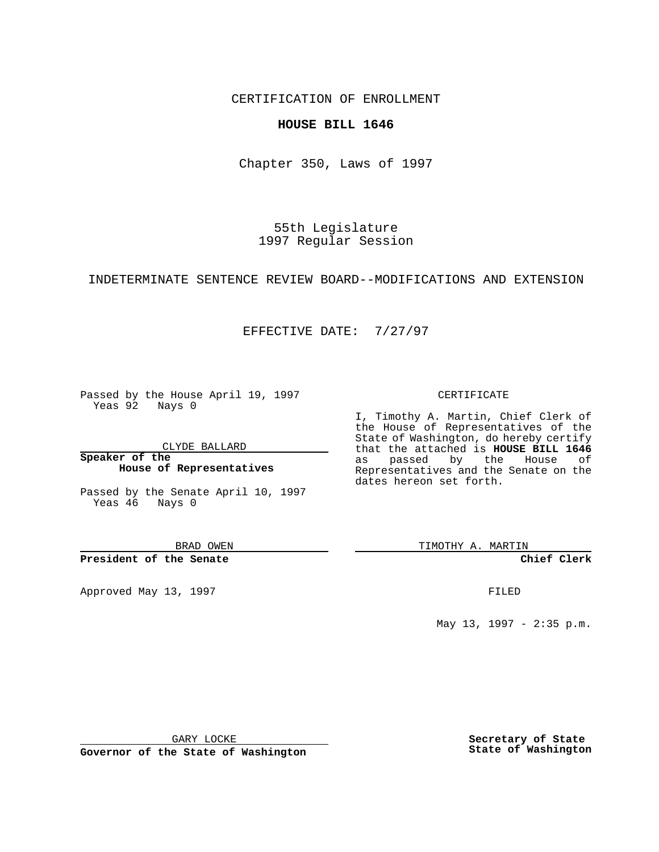CERTIFICATION OF ENROLLMENT

### **HOUSE BILL 1646**

Chapter 350, Laws of 1997

55th Legislature 1997 Regular Session

INDETERMINATE SENTENCE REVIEW BOARD--MODIFICATIONS AND EXTENSION

## EFFECTIVE DATE: 7/27/97

Passed by the House April 19, 1997 Yeas 92 Nays 0

CLYDE BALLARD

**Speaker of the House of Representatives**

Passed by the Senate April 10, 1997 Yeas 46 Nays 0

BRAD OWEN

**President of the Senate**

Approved May 13, 1997 **FILED** 

#### CERTIFICATE

I, Timothy A. Martin, Chief Clerk of the House of Representatives of the State of Washington, do hereby certify that the attached is **HOUSE BILL 1646** as passed by the House of Representatives and the Senate on the dates hereon set forth.

TIMOTHY A. MARTIN

**Chief Clerk**

May 13, 1997 - 2:35 p.m.

GARY LOCKE

**Governor of the State of Washington**

**Secretary of State State of Washington**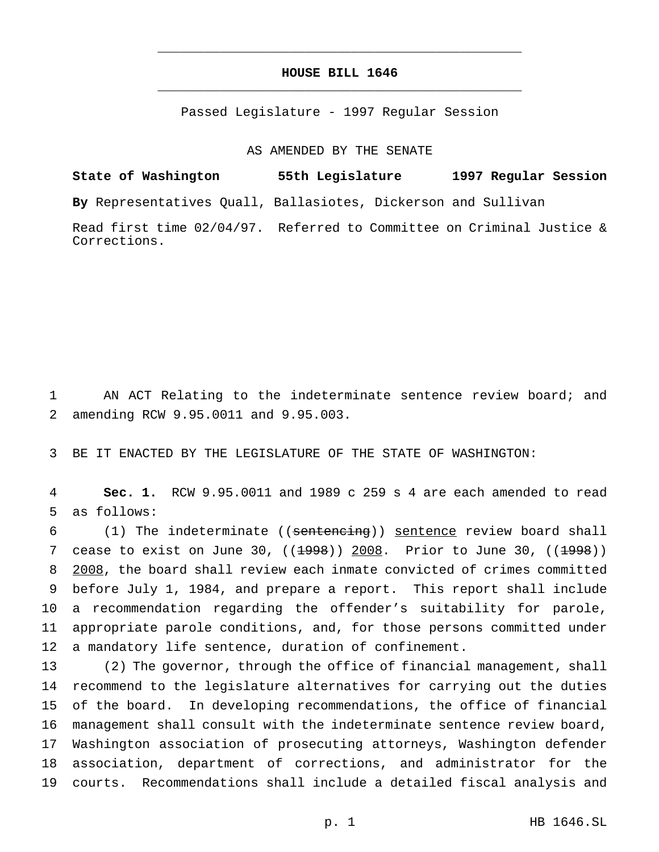## **HOUSE BILL 1646** \_\_\_\_\_\_\_\_\_\_\_\_\_\_\_\_\_\_\_\_\_\_\_\_\_\_\_\_\_\_\_\_\_\_\_\_\_\_\_\_\_\_\_\_\_\_\_

\_\_\_\_\_\_\_\_\_\_\_\_\_\_\_\_\_\_\_\_\_\_\_\_\_\_\_\_\_\_\_\_\_\_\_\_\_\_\_\_\_\_\_\_\_\_\_

Passed Legislature - 1997 Regular Session

AS AMENDED BY THE SENATE

# **State of Washington 55th Legislature 1997 Regular Session By** Representatives Quall, Ballasiotes, Dickerson and Sullivan Read first time 02/04/97. Referred to Committee on Criminal Justice & Corrections.

1 AN ACT Relating to the indeterminate sentence review board; and 2 amending RCW 9.95.0011 and 9.95.003.

3 BE IT ENACTED BY THE LEGISLATURE OF THE STATE OF WASHINGTON:

4 **Sec. 1.** RCW 9.95.0011 and 1989 c 259 s 4 are each amended to read 5 as follows:

 (1) The indeterminate ((sentencing)) sentence review board shall 7 cease to exist on June 30,  $((1998))$  2008. Prior to June 30,  $((1998))$  2008, the board shall review each inmate convicted of crimes committed before July 1, 1984, and prepare a report. This report shall include a recommendation regarding the offender's suitability for parole, appropriate parole conditions, and, for those persons committed under a mandatory life sentence, duration of confinement.

 (2) The governor, through the office of financial management, shall recommend to the legislature alternatives for carrying out the duties of the board. In developing recommendations, the office of financial management shall consult with the indeterminate sentence review board, Washington association of prosecuting attorneys, Washington defender association, department of corrections, and administrator for the courts. Recommendations shall include a detailed fiscal analysis and